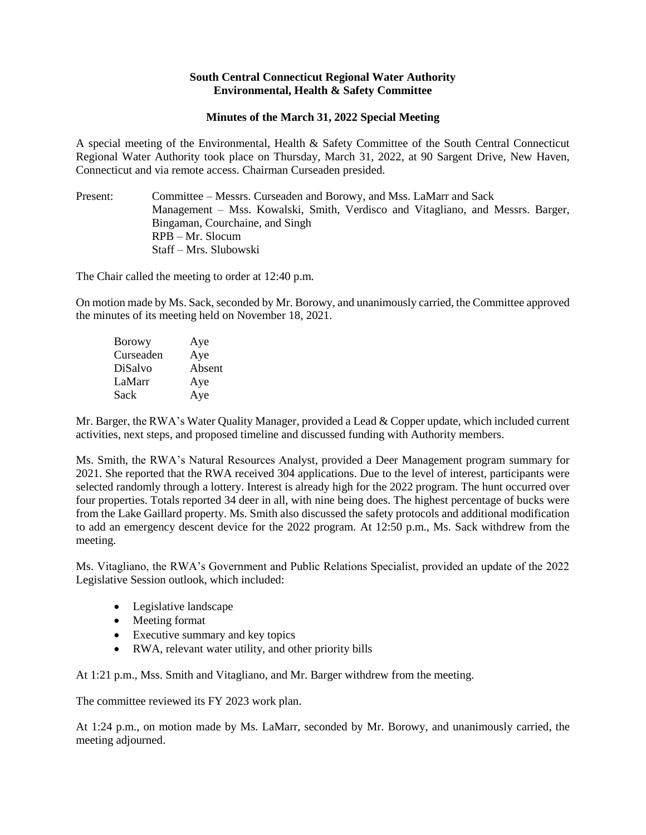## **South Central Connecticut Regional Water Authority Environmental, Health & Safety Committee**

## **Minutes of the March 31, 2022 Special Meeting**

A special meeting of the Environmental, Health & Safety Committee of the South Central Connecticut Regional Water Authority took place on Thursday, March 31, 2022, at 90 Sargent Drive, New Haven, Connecticut and via remote access. Chairman Curseaden presided.

Present: Committee – Messrs. Curseaden and Borowy, and Mss. LaMarr and Sack Management – Mss. Kowalski, Smith, Verdisco and Vitagliano, and Messrs. Barger, Bingaman, Courchaine, and Singh RPB – Mr. Slocum Staff – Mrs. Slubowski

The Chair called the meeting to order at 12:40 p.m.

On motion made by Ms. Sack, seconded by Mr. Borowy, and unanimously carried, the Committee approved the minutes of its meeting held on November 18, 2021.

| <b>Borowy</b> | Aye    |
|---------------|--------|
| Curseaden     | Aye    |
| DiSalvo       | Absent |
| LaMarr        | Aye    |
| Sack          | Aye    |

Mr. Barger, the RWA's Water Quality Manager, provided a Lead & Copper update, which included current activities, next steps, and proposed timeline and discussed funding with Authority members.

Ms. Smith, the RWA's Natural Resources Analyst, provided a Deer Management program summary for 2021. She reported that the RWA received 304 applications. Due to the level of interest, participants were selected randomly through a lottery. Interest is already high for the 2022 program. The hunt occurred over four properties. Totals reported 34 deer in all, with nine being does. The highest percentage of bucks were from the Lake Gaillard property. Ms. Smith also discussed the safety protocols and additional modification to add an emergency descent device for the 2022 program. At 12:50 p.m., Ms. Sack withdrew from the meeting.

Ms. Vitagliano, the RWA's Government and Public Relations Specialist, provided an update of the 2022 Legislative Session outlook, which included:

- Legislative landscape
- Meeting format
- Executive summary and key topics
- RWA, relevant water utility, and other priority bills

At 1:21 p.m., Mss. Smith and Vitagliano, and Mr. Barger withdrew from the meeting.

The committee reviewed its FY 2023 work plan.

At 1:24 p.m., on motion made by Ms. LaMarr, seconded by Mr. Borowy, and unanimously carried, the meeting adjourned.